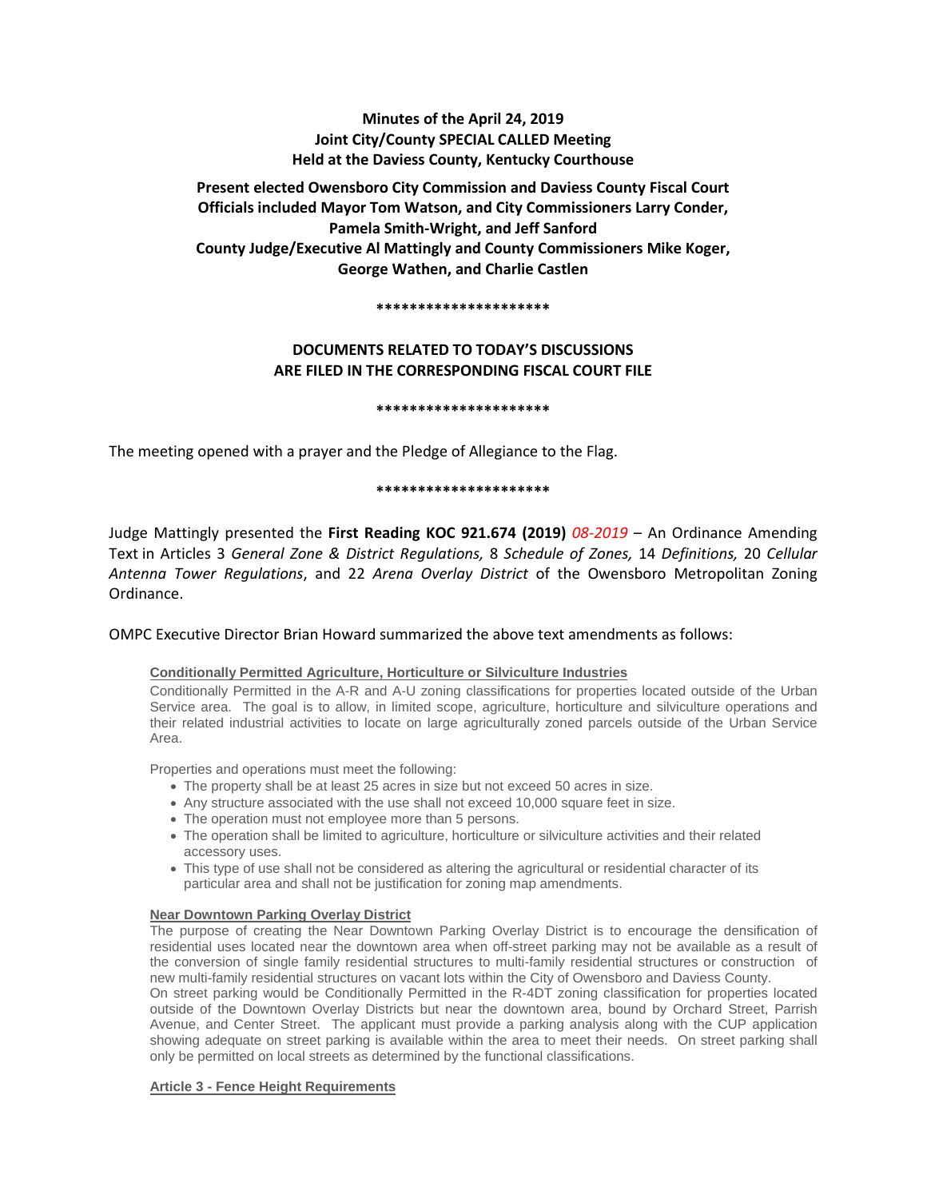# **Minutes of the April 24, 2019 Joint City/County SPECIAL CALLED Meeting Held at the Daviess County, Kentucky Courthouse**

**Present elected Owensboro City Commission and Daviess County Fiscal Court Officials included Mayor Tom Watson, and City Commissioners Larry Conder, Pamela Smith-Wright, and Jeff Sanford County Judge/Executive Al Mattingly and County Commissioners Mike Koger, George Wathen, and Charlie Castlen** 

#### **\*\*\*\*\*\*\*\*\*\*\*\*\*\*\*\*\*\*\*\*\***

# **DOCUMENTS RELATED TO TODAY'S DISCUSSIONS ARE FILED IN THE CORRESPONDING FISCAL COURT FILE**

**\*\*\*\*\*\*\*\*\*\*\*\*\*\*\*\*\*\*\*\*\***

The meeting opened with a prayer and the Pledge of Allegiance to the Flag.

#### **\*\*\*\*\*\*\*\*\*\*\*\*\*\*\*\*\*\*\*\*\***

Judge Mattingly presented the **First Reading KOC 921.674 (2019)** *08-2019* – An Ordinance Amending Text in Articles 3 *General Zone & District Regulations,* 8 *Schedule of Zones,* 14 *Definitions,* 20 *Cellular Antenna Tower Regulations*, and 22 *Arena Overlay District* of the Owensboro Metropolitan Zoning Ordinance.

# OMPC Executive Director Brian Howard summarized the above text amendments as follows:

### **Conditionally Permitted Agriculture, Horticulture or Silviculture Industries**

Conditionally Permitted in the A-R and A-U zoning classifications for properties located outside of the Urban Service area. The goal is to allow, in limited scope, agriculture, horticulture and silviculture operations and their related industrial activities to locate on large agriculturally zoned parcels outside of the Urban Service Area.

Properties and operations must meet the following:

- The property shall be at least 25 acres in size but not exceed 50 acres in size.
- Any structure associated with the use shall not exceed 10,000 square feet in size.
- The operation must not employee more than 5 persons.
- The operation shall be limited to agriculture, horticulture or silviculture activities and their related accessory uses.
- This type of use shall not be considered as altering the agricultural or residential character of its particular area and shall not be justification for zoning map amendments.

### **Near Downtown Parking Overlay District**

The purpose of creating the Near Downtown Parking Overlay District is to encourage the densification of residential uses located near the downtown area when off-street parking may not be available as a result of the conversion of single family residential structures to multi-family residential structures or construction of new multi-family residential structures on vacant lots within the City of Owensboro and Daviess County.

On street parking would be Conditionally Permitted in the R-4DT zoning classification for properties located outside of the Downtown Overlay Districts but near the downtown area, bound by Orchard Street, Parrish Avenue, and Center Street. The applicant must provide a parking analysis along with the CUP application showing adequate on street parking is available within the area to meet their needs. On street parking shall only be permitted on local streets as determined by the functional classifications.

### **Article 3 - Fence Height Requirements**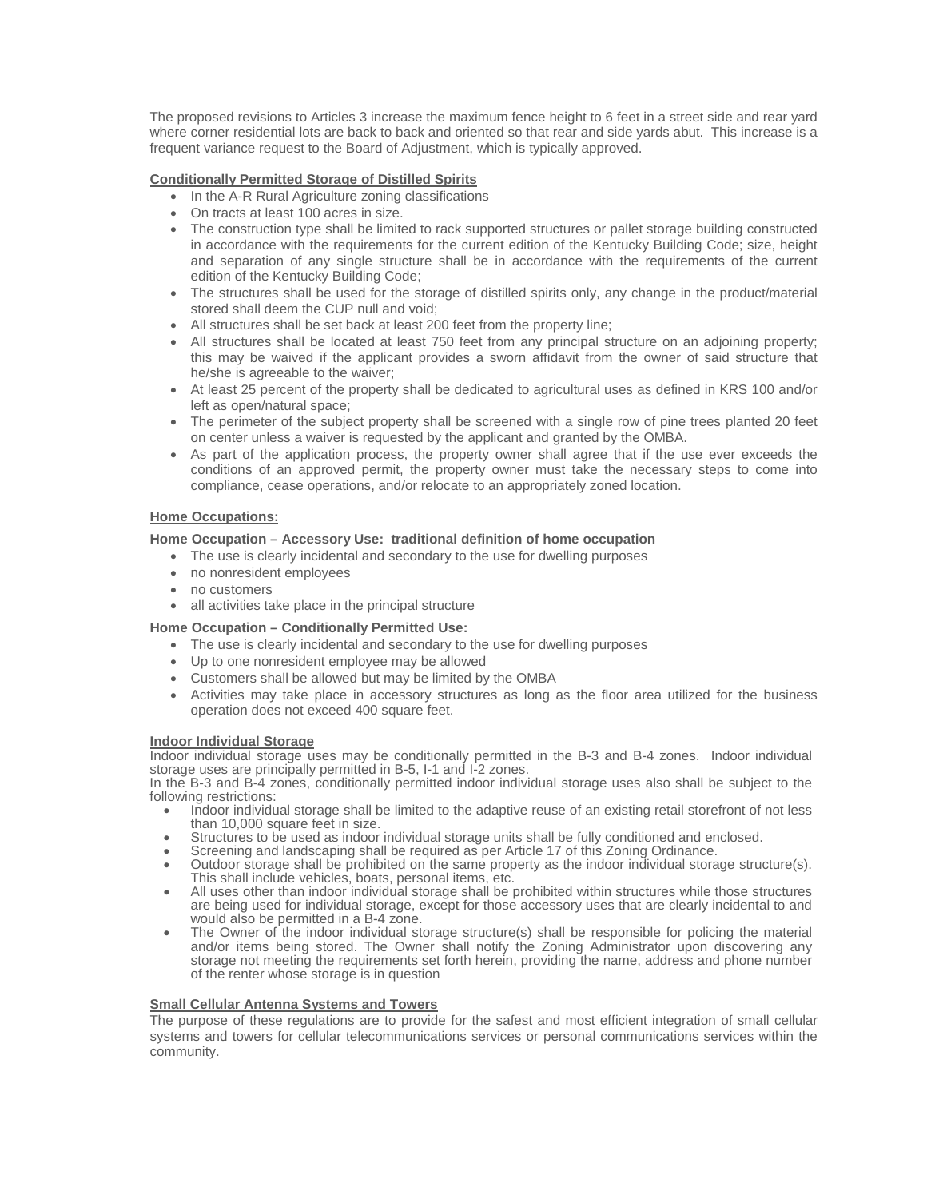The proposed revisions to Articles 3 increase the maximum fence height to 6 feet in a street side and rear yard where corner residential lots are back to back and oriented so that rear and side yards abut. This increase is a frequent variance request to the Board of Adjustment, which is typically approved.

## **Conditionally Permitted Storage of Distilled Spirits**

- In the A-R Rural Agriculture zoning classifications
- On tracts at least 100 acres in size.
- The construction type shall be limited to rack supported structures or pallet storage building constructed in accordance with the requirements for the current edition of the Kentucky Building Code; size, height and separation of any single structure shall be in accordance with the requirements of the current edition of the Kentucky Building Code;
- The structures shall be used for the storage of distilled spirits only, any change in the product/material stored shall deem the CUP null and void;
- All structures shall be set back at least 200 feet from the property line;
- All structures shall be located at least 750 feet from any principal structure on an adjoining property; this may be waived if the applicant provides a sworn affidavit from the owner of said structure that he/she is agreeable to the waiver;
- At least 25 percent of the property shall be dedicated to agricultural uses as defined in KRS 100 and/or left as open/natural space;
- The perimeter of the subject property shall be screened with a single row of pine trees planted 20 feet on center unless a waiver is requested by the applicant and granted by the OMBA.
- As part of the application process, the property owner shall agree that if the use ever exceeds the conditions of an approved permit, the property owner must take the necessary steps to come into compliance, cease operations, and/or relocate to an appropriately zoned location.

## **Home Occupations:**

## **Home Occupation – Accessory Use: traditional definition of home occupation**

- The use is clearly incidental and secondary to the use for dwelling purposes
- no nonresident employees
- no customers
- all activities take place in the principal structure

# **Home Occupation – Conditionally Permitted Use:**

- The use is clearly incidental and secondary to the use for dwelling purposes
- Up to one nonresident employee may be allowed
- Customers shall be allowed but may be limited by the OMBA
- Activities may take place in accessory structures as long as the floor area utilized for the business operation does not exceed 400 square feet.

### **Indoor Individual Storage**

Indoor individual storage uses may be conditionally permitted in the B-3 and B-4 zones. Indoor individual storage uses are principally permitted in B-5, I-1 and I-2 zones.

In the B-3 and B-4 zones, conditionally permitted indoor individual storage uses also shall be subject to the<br>following restrictions:

- Indoor individual storage shall be limited to the adaptive reuse of an existing retail storefront of not less<br>than 10,000 square feet in size.
- 
- 
- Structures to be used as indoor individual storage units shall be fully conditioned and enclosed.<br>• Screening and landscaping shall be required as per Article 17 of this Zoning Ordinance.<br>• Outdoor storage shall be prohi
- All uses other than indoor individual storage shall be prohibited within structures while those structures are being used for individual storage, except for those accessory uses that are clearly incidental to and<br>would also be permitted in a B-4 zone.
- The Owner of the indoor individual storage structure(s) shall be responsible for policing the material and/or items being stored. The Owner shall notify the Zoning Administrator upon discovering any storage not meeting the requirements set forth herein, providing the name, address and phone number of the renter whose storage is in question

### **Small Cellular Antenna Systems and Towers**

The purpose of these regulations are to provide for the safest and most efficient integration of small cellular systems and towers for cellular telecommunications services or personal communications services within the community.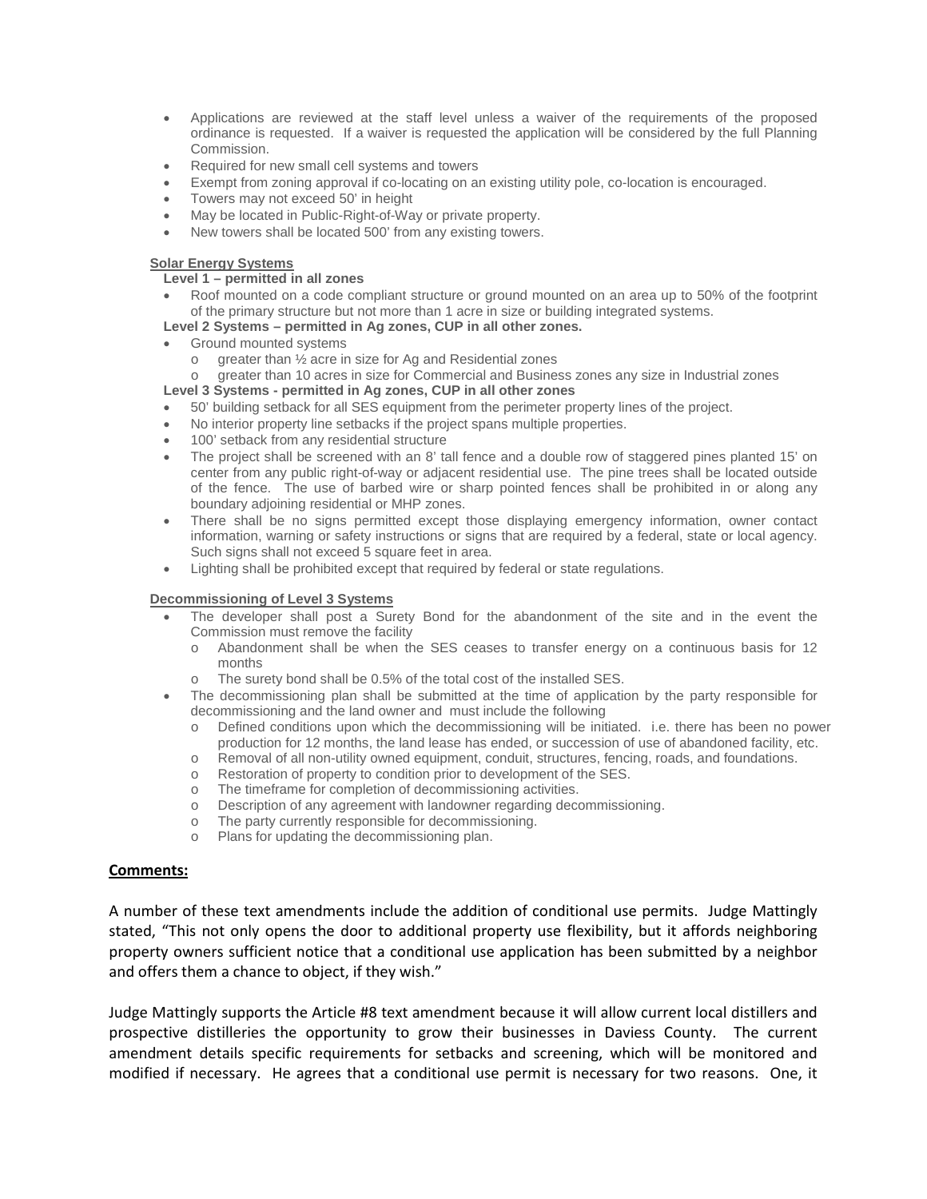- Applications are reviewed at the staff level unless a waiver of the requirements of the proposed ordinance is requested. If a waiver is requested the application will be considered by the full Planning Commission.
- Required for new small cell systems and towers
- Exempt from zoning approval if co-locating on an existing utility pole, co-location is encouraged.
- Towers may not exceed 50' in height
- May be located in Public-Right-of-Way or private property.
- New towers shall be located 500' from any existing towers.

### **Solar Energy Systems**

## **Level 1 – permitted in all zones**

• Roof mounted on a code compliant structure or ground mounted on an area up to 50% of the footprint of the primary structure but not more than 1 acre in size or building integrated systems.

## **Level 2 Systems – permitted in Ag zones, CUP in all other zones.**

- Ground mounted systems
	- o greater than  $\frac{1}{2}$  acre in size for Ag and Residential zones o greater than 10 acres in size for Commercial and Busines
- greater than 10 acres in size for Commercial and Business zones any size in Industrial zones
- **Level 3 Systems - permitted in Ag zones, CUP in all other zones**
- 50' building setback for all SES equipment from the perimeter property lines of the project.
- No interior property line setbacks if the project spans multiple properties.
- 100' setback from any residential structure
- The project shall be screened with an 8' tall fence and a double row of staggered pines planted 15' on center from any public right-of-way or adjacent residential use. The pine trees shall be located outside of the fence. The use of barbed wire or sharp pointed fences shall be prohibited in or along any boundary adjoining residential or MHP zones.
- There shall be no signs permitted except those displaying emergency information, owner contact information, warning or safety instructions or signs that are required by a federal, state or local agency. Such signs shall not exceed 5 square feet in area.
- Lighting shall be prohibited except that required by federal or state regulations.

# **Decommissioning of Level 3 Systems**

- The developer shall post a Surety Bond for the abandonment of the site and in the event the Commission must remove the facility
	- o Abandonment shall be when the SES ceases to transfer energy on a continuous basis for 12 months
	- o The surety bond shall be 0.5% of the total cost of the installed SES.
- The decommissioning plan shall be submitted at the time of application by the party responsible for decommissioning and the land owner and must include the following
	- o Defined conditions upon which the decommissioning will be initiated. i.e. there has been no power production for 12 months, the land lease has ended, or succession of use of abandoned facility, etc.
	- o Removal of all non-utility owned equipment, conduit, structures, fencing, roads, and foundations.<br>
	Restoration of property to condition prior to development of the SES.
	- Restoration of property to condition prior to development of the SES.
	-
	- o The timeframe for completion of decommissioning activities.<br> **O** Description of any agreement with landowner regarding dec o Description of any agreement with landowner regarding decommissioning.<br>
	The party currently responsible for decommissioning.
	- The party currently responsible for decommissioning.
	- o Plans for updating the decommissioning plan.

# **Comments:**

A number of these text amendments include the addition of conditional use permits. Judge Mattingly stated, "This not only opens the door to additional property use flexibility, but it affords neighboring property owners sufficient notice that a conditional use application has been submitted by a neighbor and offers them a chance to object, if they wish."

Judge Mattingly supports the Article #8 text amendment because it will allow current local distillers and prospective distilleries the opportunity to grow their businesses in Daviess County. The current amendment details specific requirements for setbacks and screening, which will be monitored and modified if necessary. He agrees that a conditional use permit is necessary for two reasons. One, it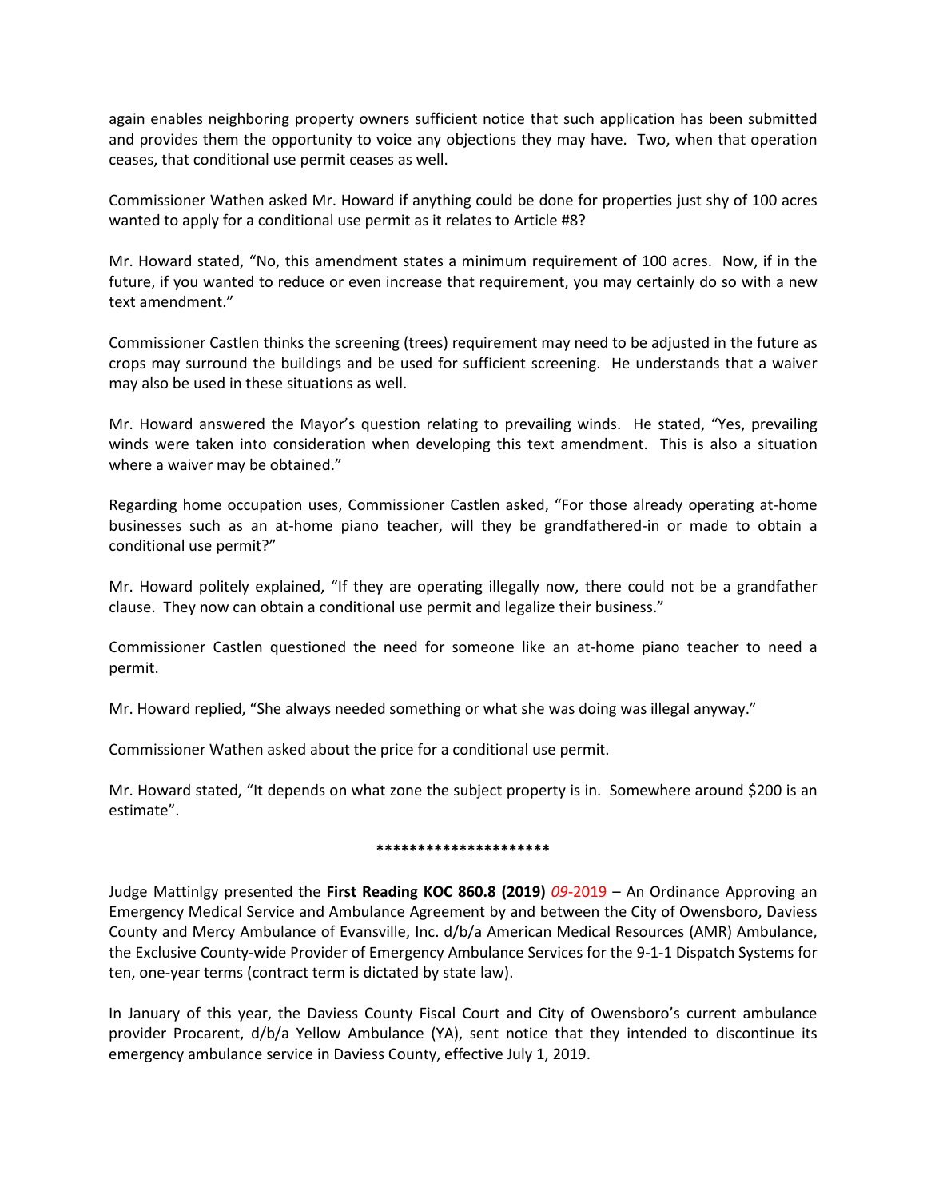again enables neighboring property owners sufficient notice that such application has been submitted and provides them the opportunity to voice any objections they may have. Two, when that operation ceases, that conditional use permit ceases as well.

Commissioner Wathen asked Mr. Howard if anything could be done for properties just shy of 100 acres wanted to apply for a conditional use permit as it relates to Article #8?

Mr. Howard stated, "No, this amendment states a minimum requirement of 100 acres. Now, if in the future, if you wanted to reduce or even increase that requirement, you may certainly do so with a new text amendment."

Commissioner Castlen thinks the screening (trees) requirement may need to be adjusted in the future as crops may surround the buildings and be used for sufficient screening. He understands that a waiver may also be used in these situations as well.

Mr. Howard answered the Mayor's question relating to prevailing winds. He stated, "Yes, prevailing winds were taken into consideration when developing this text amendment. This is also a situation where a waiver may be obtained."

Regarding home occupation uses, Commissioner Castlen asked, "For those already operating at-home businesses such as an at-home piano teacher, will they be grandfathered-in or made to obtain a conditional use permit?"

Mr. Howard politely explained, "If they are operating illegally now, there could not be a grandfather clause. They now can obtain a conditional use permit and legalize their business."

Commissioner Castlen questioned the need for someone like an at-home piano teacher to need a permit.

Mr. Howard replied, "She always needed something or what she was doing was illegal anyway."

Commissioner Wathen asked about the price for a conditional use permit.

Mr. Howard stated, "It depends on what zone the subject property is in. Somewhere around \$200 is an estimate".

### **\*\*\*\*\*\*\*\*\*\*\*\*\*\*\*\*\*\*\*\*\***

Judge Mattinlgy presented the **First Reading KOC 860.8 (2019)** *09-*2019 – An Ordinance Approving an Emergency Medical Service and Ambulance Agreement by and between the City of Owensboro, Daviess County and Mercy Ambulance of Evansville, Inc. d/b/a American Medical Resources (AMR) Ambulance, the Exclusive County-wide Provider of Emergency Ambulance Services for the 9-1-1 Dispatch Systems for ten, one-year terms (contract term is dictated by state law).

In January of this year, the Daviess County Fiscal Court and City of Owensboro's current ambulance provider Procarent, d/b/a Yellow Ambulance (YA), sent notice that they intended to discontinue its emergency ambulance service in Daviess County, effective July 1, 2019.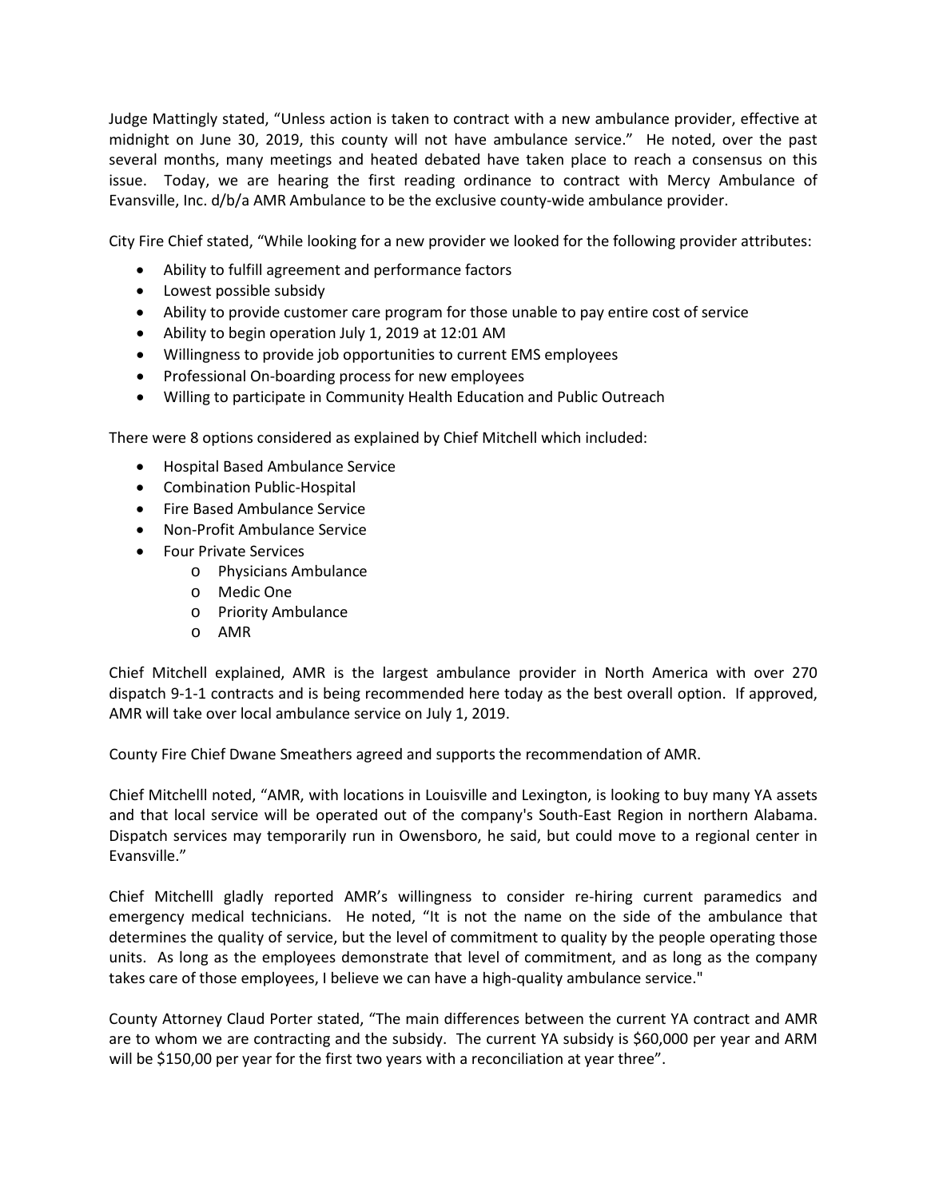Judge Mattingly stated, "Unless action is taken to contract with a new ambulance provider, effective at midnight on June 30, 2019, this county will not have ambulance service." He noted, over the past several months, many meetings and heated debated have taken place to reach a consensus on this issue. Today, we are hearing the first reading ordinance to contract with Mercy Ambulance of Evansville, Inc. d/b/a AMR Ambulance to be the exclusive county-wide ambulance provider.

City Fire Chief stated, "While looking for a new provider we looked for the following provider attributes:

- Ability to fulfill agreement and performance factors
- Lowest possible subsidy
- Ability to provide customer care program for those unable to pay entire cost of service
- Ability to begin operation July 1, 2019 at 12:01 AM
- Willingness to provide job opportunities to current EMS employees
- Professional On-boarding process for new employees
- Willing to participate in Community Health Education and Public Outreach

There were 8 options considered as explained by Chief Mitchell which included:

- Hospital Based Ambulance Service
- Combination Public-Hospital
- Fire Based Ambulance Service
- Non-Profit Ambulance Service
- Four Private Services
	- o Physicians Ambulance
	- o Medic One
	- o Priority Ambulance
	- o AMR

Chief Mitchell explained, AMR is the largest ambulance provider in North America with over 270 dispatch 9-1-1 contracts and is being recommended here today as the best overall option. If approved, AMR will take over local ambulance service on July 1, 2019.

County Fire Chief Dwane Smeathers agreed and supports the recommendation of AMR.

Chief Mitchelll noted, "AMR, with locations in Louisville and Lexington, is looking to buy many YA assets and that local service will be operated out of the company's South-East Region in northern Alabama. Dispatch services may temporarily run in Owensboro, he said, but could move to a regional center in Evansville."

Chief Mitchelll gladly reported AMR's willingness to consider re-hiring current paramedics and emergency medical technicians. He noted, "It is not the name on the side of the ambulance that determines the quality of service, but the level of commitment to quality by the people operating those units. As long as the employees demonstrate that level of commitment, and as long as the company takes care of those employees, I believe we can have a high-quality ambulance service."

County Attorney Claud Porter stated, "The main differences between the current YA contract and AMR are to whom we are contracting and the subsidy. The current YA subsidy is \$60,000 per year and ARM will be \$150,00 per year for the first two years with a reconciliation at year three".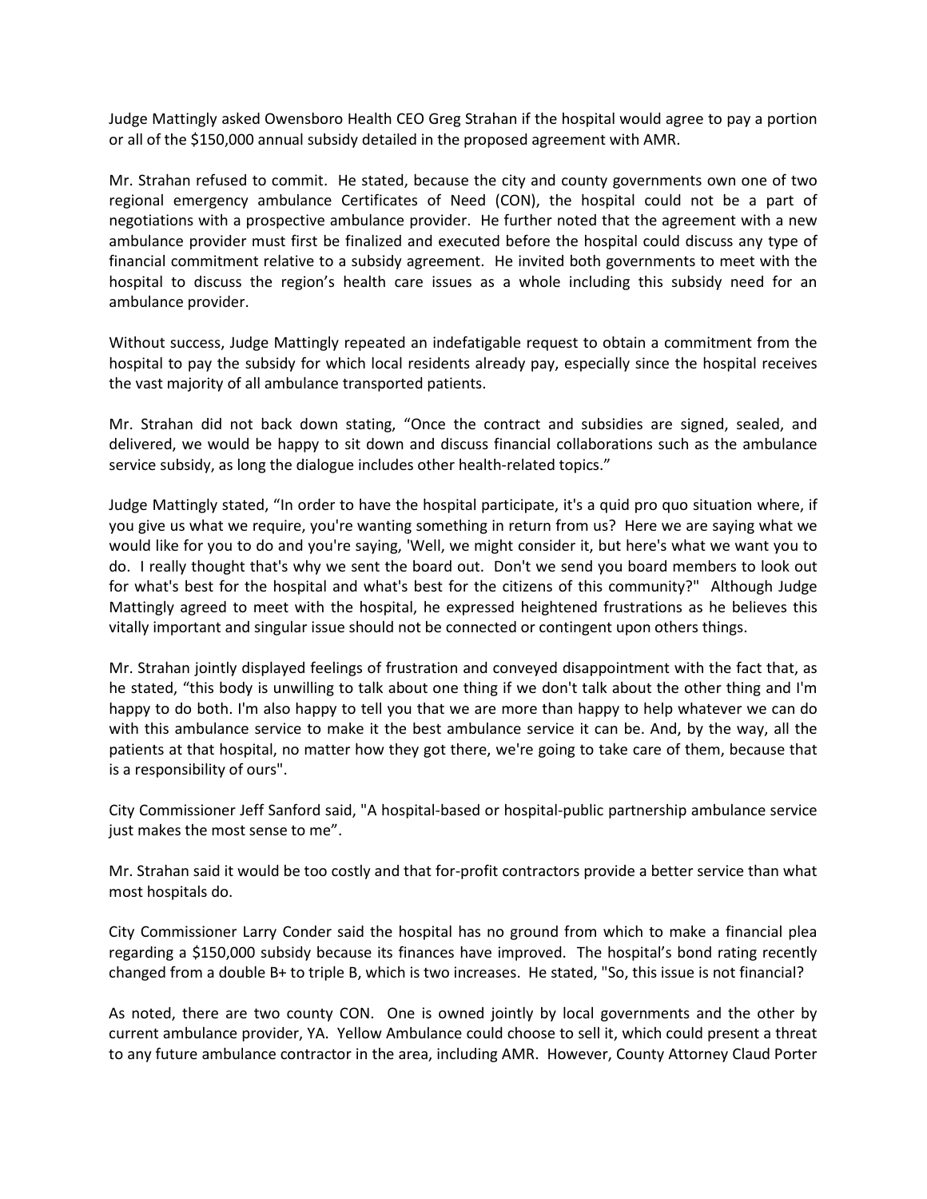Judge Mattingly asked Owensboro Health CEO Greg Strahan if the hospital would agree to pay a portion or all of the \$150,000 annual subsidy detailed in the proposed agreement with AMR.

Mr. Strahan refused to commit. He stated, because the city and county governments own one of two regional emergency ambulance Certificates of Need (CON), the hospital could not be a part of negotiations with a prospective ambulance provider. He further noted that the agreement with a new ambulance provider must first be finalized and executed before the hospital could discuss any type of financial commitment relative to a subsidy agreement. He invited both governments to meet with the hospital to discuss the region's health care issues as a whole including this subsidy need for an ambulance provider.

Without success, Judge Mattingly repeated an indefatigable request to obtain a commitment from the hospital to pay the subsidy for which local residents already pay, especially since the hospital receives the vast majority of all ambulance transported patients.

Mr. Strahan did not back down stating, "Once the contract and subsidies are signed, sealed, and delivered, we would be happy to sit down and discuss financial collaborations such as the ambulance service subsidy, as long the dialogue includes other health-related topics."

Judge Mattingly stated, "In order to have the hospital participate, it's a quid pro quo situation where, if you give us what we require, you're wanting something in return from us? Here we are saying what we would like for you to do and you're saying, 'Well, we might consider it, but here's what we want you to do. I really thought that's why we sent the board out. Don't we send you board members to look out for what's best for the hospital and what's best for the citizens of this community?" Although Judge Mattingly agreed to meet with the hospital, he expressed heightened frustrations as he believes this vitally important and singular issue should not be connected or contingent upon others things.

Mr. Strahan jointly displayed feelings of frustration and conveyed disappointment with the fact that, as he stated, "this body is unwilling to talk about one thing if we don't talk about the other thing and I'm happy to do both. I'm also happy to tell you that we are more than happy to help whatever we can do with this ambulance service to make it the best ambulance service it can be. And, by the way, all the patients at that hospital, no matter how they got there, we're going to take care of them, because that is a responsibility of ours".

City Commissioner Jeff Sanford said, "A hospital-based or hospital-public partnership ambulance service just makes the most sense to me".

Mr. Strahan said it would be too costly and that for-profit contractors provide a better service than what most hospitals do.

City Commissioner Larry Conder said the hospital has no ground from which to make a financial plea regarding a \$150,000 subsidy because its finances have improved. The hospital's bond rating recently changed from a double B+ to triple B, which is two increases. He stated, "So, this issue is not financial?

As noted, there are two county CON. One is owned jointly by local governments and the other by current ambulance provider, YA. Yellow Ambulance could choose to sell it, which could present a threat to any future ambulance contractor in the area, including AMR. However, County Attorney Claud Porter